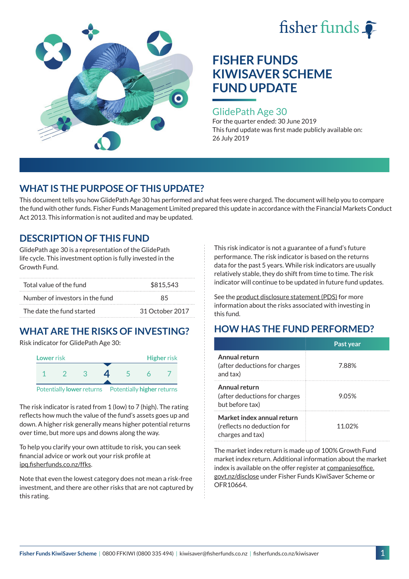



#### GlidePath Age 30

For the quarter ended: 30 June 2019 This fund update was first made publicly available on: 26 July 2019

## **WHAT IS THE PURPOSE OF THIS UPDATE?**

This document tells you how GlidePath Age 30 has performed and what fees were charged. The document will help you to compare the fund with other funds. Fisher Funds Management Limited prepared this update in accordance with the Financial Markets Conduct Act 2013. This information is not audited and may be updated.

### **DESCRIPTION OF THIS FUND**

GlidePath age 30 is a representation of the GlidePath life cycle. This investment option is fully invested in the Growth Fund.

| Total value of the fund         | \$815.543       |  |  |
|---------------------------------|-----------------|--|--|
| Number of investors in the fund | 85              |  |  |
| The date the fund started       | 31 October 2017 |  |  |

# **WHAT ARE THE RISKS OF INVESTING?**

Risk indicator for GlidePath Age 30:



The risk indicator is rated from 1 (low) to 7 (high). The rating

reflects how much the value of the fund's assets goes up and down. A higher risk generally means higher potential returns over time, but more ups and downs along the way.

To help you clarify your own attitude to risk, you can seek financial advice or work out your risk profile at [ipq.fisherfunds.co.nz/ffks](https://ipq.fisherfunds.co.nz/ffks).

Note that even the lowest category does not mean a risk-free investment, and there are other risks that are not captured by this rating.

This risk indicator is not a guarantee of a fund's future performance. The risk indicator is based on the returns data for the past 5 years. While risk indicators are usually relatively stable, they do shift from time to time. The risk indicator will continue to be updated in future fund updates.

See the [product disclosure statement \(PDS\)](https://fisherfunds.co.nz/assets/PDS/Fisher-Funds-KiwiSaver-Scheme-PDS.pdf) for more information about the risks associated with investing in this fund.

## **HOW HAS THE FUND PERFORMED?**

|                                                                              | Past year |
|------------------------------------------------------------------------------|-----------|
| Annual return<br>(after deductions for charges<br>and tax)                   | 7.88%     |
| Annual return<br>(after deductions for charges<br>but before tax)            | 9.05%     |
| Market index annual return<br>(reflects no deduction for<br>charges and tax) | 11 02%    |

The market index return is made up of 100% Growth Fund market index return. Additional information about the market index is available on the offer register at [companiesoffice.](http://companiesoffice.govt.nz/disclose) [govt.nz/disclose](http://companiesoffice.govt.nz/disclose) under Fisher Funds KiwiSaver Scheme or OFR10664.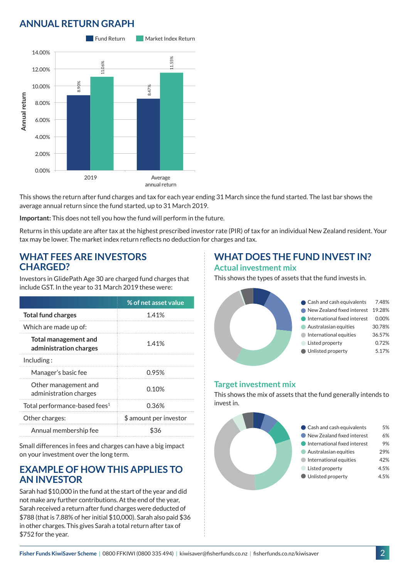## **ANNUAL RETURN GRAPH**



This shows the return after fund charges and tax for each year ending 31 March since the fund started. The last bar shows the average annual return since the fund started, up to 31 March 2019.

**Important:** This does not tell you how the fund will perform in the future.

Returns in this update are after tax at the highest prescribed investor rate (PIR) of tax for an individual New Zealand resident. Your tax may be lower. The market index return reflects no deduction for charges and tax.

#### **WHAT FEES ARE INVESTORS CHARGED?**

Investors in GlidePath Age 30 are charged fund charges that include GST. In the year to 31 March 2019 these were:

|                                                       | % of net asset value   |
|-------------------------------------------------------|------------------------|
| <b>Total fund charges</b>                             | 1.41%                  |
| Which are made up of:                                 |                        |
| <b>Total management and</b><br>administration charges | 1.41%                  |
| Including:                                            |                        |
| Manager's basic fee                                   | 0.95%                  |
| Other management and<br>administration charges        | 0.10%                  |
| Total performance-based fees <sup>1</sup>             | 0.36%                  |
| Other charges:                                        | \$ amount per investor |
| Annual membership fee                                 | \$36                   |

Small differences in fees and charges can have a big impact on your investment over the long term.

#### **EXAMPLE OF HOW THIS APPLIES TO AN INVESTOR**

Sarah had \$10,000 in the fund at the start of the year and did not make any further contributions. At the end of the year, Sarah received a return after fund charges were deducted of \$788 (that is 7.88% of her initial \$10,000). Sarah also paid \$36 in other charges. This gives Sarah a total return after tax of \$752 for the year.

#### **WHAT DOES THE FUND INVEST IN? Actual investment mix**

This shows the types of assets that the fund invests in.



#### **Target investment mix**

This shows the mix of assets that the fund generally intends to invest in.